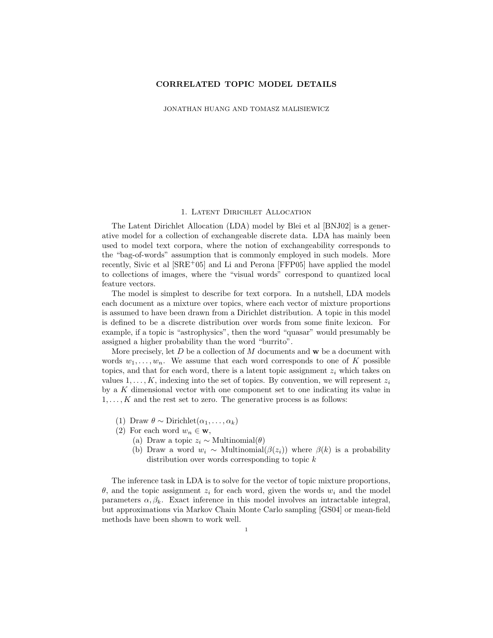# CORRELATED TOPIC MODEL DETAILS

JONATHAN HUANG AND TOMASZ MALISIEWICZ

#### 1. Latent Dirichlet Allocation

The Latent Dirichlet Allocation (LDA) model by Blei et al [BNJ02] is a generative model for a collection of exchangeable discrete data. LDA has mainly been used to model text corpora, where the notion of exchangeability corresponds to the "bag-of-words" assumption that is commonly employed in such models. More recently, Sivic et al [SRE<sup>+</sup>05] and Li and Perona [FFP05] have applied the model to collections of images, where the "visual words" correspond to quantized local feature vectors.

The model is simplest to describe for text corpora. In a nutshell, LDA models each document as a mixture over topics, where each vector of mixture proportions is assumed to have been drawn from a Dirichlet distribution. A topic in this model is defined to be a discrete distribution over words from some finite lexicon. For example, if a topic is "astrophysics", then the word "quasar" would presumably be assigned a higher probability than the word "burrito".

More precisely, let  $D$  be a collection of  $M$  documents and  $\bf{w}$  be a document with words  $w_1, \ldots, w_n$ . We assume that each word corresponds to one of K possible topics, and that for each word, there is a latent topic assignment  $z<sub>i</sub>$  which takes on values  $1, \ldots, K$ , indexing into the set of topics. By convention, we will represent  $z_i$ by a K dimensional vector with one component set to one indicating its value in  $1, \ldots, K$  and the rest set to zero. The generative process is as follows:

- (1) Draw  $\theta \sim \text{Dirichlet}(\alpha_1, \ldots, \alpha_k)$
- (2) For each word  $w_n \in \mathbf{w}$ ,
	- (a) Draw a topic  $z_i \sim \text{Multinomial}(\theta)$
	- (b) Draw a word  $w_i \sim \text{Multinomial}(\beta(z_i))$  where  $\beta(k)$  is a probability distribution over words corresponding to topic  $k$

The inference task in LDA is to solve for the vector of topic mixture proportions,  $θ$ , and the topic assignment  $z<sub>i</sub>$  for each word, given the words  $w<sub>i</sub>$  and the model parameters  $\alpha, \beta_k$ . Exact inference in this model involves an intractable integral, but approximations via Markov Chain Monte Carlo sampling [GS04] or mean-field methods have been shown to work well.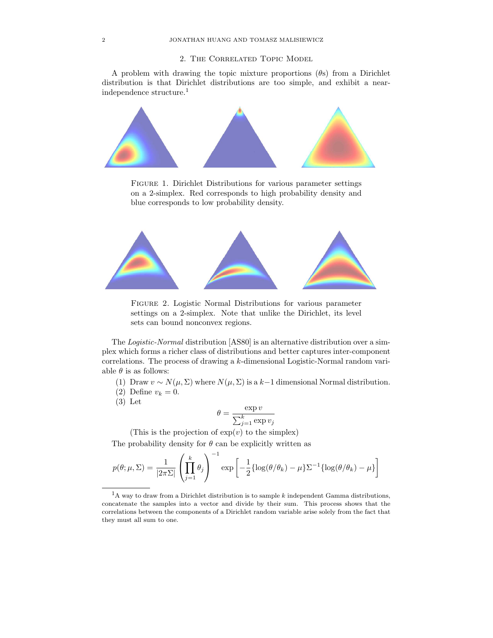# 2. The Correlated Topic Model

A problem with drawing the topic mixture proportions  $(\theta s)$  from a Dirichlet distribution is that Dirichlet distributions are too simple, and exhibit a nearindependence structure.<sup>1</sup>



Figure 1. Dirichlet Distributions for various parameter settings on a 2-simplex. Red corresponds to high probability density and blue corresponds to low probability density.



Figure 2. Logistic Normal Distributions for various parameter settings on a 2-simplex. Note that unlike the Dirichlet, its level sets can bound nonconvex regions.

The Logistic-Normal distribution [AS80] is an alternative distribution over a simplex which forms a richer class of distributions and better captures inter-component correlations. The process of drawing a k-dimensional Logistic-Normal random variable  $\theta$  is as follows:

- (1) Draw  $v \sim N(\mu, \Sigma)$  where  $N(\mu, \Sigma)$  is a k–1 dimensional Normal distribution.
- (2) Define  $v_k = 0$ .
- (3) Let

$$
\theta = \frac{\exp v}{\sum_{j=1}^{k} \exp v_j}
$$

(This is the projection of  $\exp(v)$  to the simplex)

The probability density for  $\theta$  can be explicitly written as

$$
p(\theta; \mu, \Sigma) = \frac{1}{|2\pi\Sigma|} \left( \prod_{j=1}^{k} \theta_j \right)^{-1} \exp \left[ -\frac{1}{2} \{ \log(\theta/\theta_k) - \mu \} \Sigma^{-1} \{ \log(\theta/\theta_k) - \mu \} \right]
$$

 ${}^{1}$ A way to draw from a Dirichlet distribution is to sample k independent Gamma distributions, concatenate the samples into a vector and divide by their sum. This process shows that the correlations between the components of a Dirichlet random variable arise solely from the fact that they must all sum to one.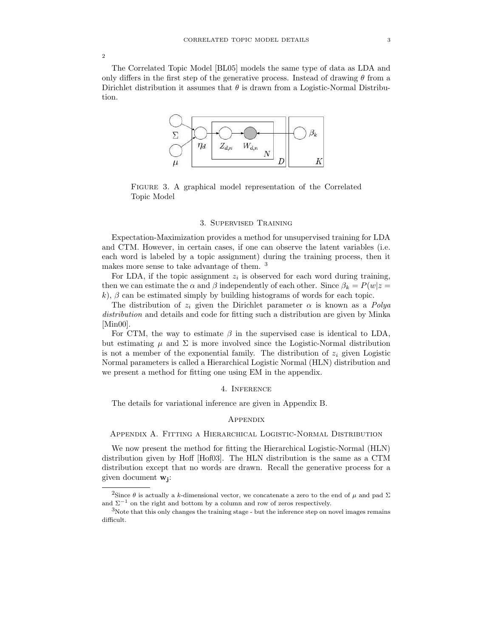The Correlated Topic Model [BL05] models the same type of data as LDA and only differs in the first step of the generative process. Instead of drawing  $\theta$  from a Dirichlet distribution it assumes that  $\theta$  is drawn from a Logistic-Normal Distribution.



Figure 3. A graphical model representation of the Correlated Topic Model

### 3. Supervised Training

Expectation-Maximization provides a method for unsupervised training for LDA and CTM. However, in certain cases, if one can observe the latent variables (i.e. each word is labeled by a topic assignment) during the training process, then it makes more sense to take advantage of them.<sup>3</sup>

For LDA, if the topic assignment  $z_i$  is observed for each word during training, then we can estimate the  $\alpha$  and  $\beta$  independently of each other. Since  $\beta_k = P(w|z =$ k),  $\beta$  can be estimated simply by building histograms of words for each topic.

The distribution of  $z_i$  given the Dirichlet parameter  $\alpha$  is known as a Polya distribution and details and code for fitting such a distribution are given by Minka [Min00].

For CTM, the way to estimate  $\beta$  in the supervised case is identical to LDA, but estimating  $\mu$  and  $\Sigma$  is more involved since the Logistic-Normal distribution is not a member of the exponential family. The distribution of  $z_i$  given Logistic Normal parameters is called a Hierarchical Logistic Normal (HLN) distribution and we present a method for fitting one using EM in the appendix.

#### 4. Inference

The details for variational inference are given in Appendix B.

### **APPENDIX**

## Appendix A. Fitting a Hierarchical Logistic-Normal Distribution

We now present the method for fitting the Hierarchical Logistic-Normal (HLN) distribution given by Hoff [Hof03]. The HLN distribution is the same as a CTM distribution except that no words are drawn. Recall the generative process for a given document  $w_j$ :

 $\overline{2}$ 

<sup>&</sup>lt;sup>2</sup>Since  $\theta$  is actually a *k*-dimensional vector, we concatenate a zero to the end of  $\mu$  and pad  $\Sigma$ and  $\Sigma^{-1}$  on the right and bottom by a column and row of zeros respectively.

<sup>3</sup>Note that this only changes the training stage - but the inference step on novel images remains difficult.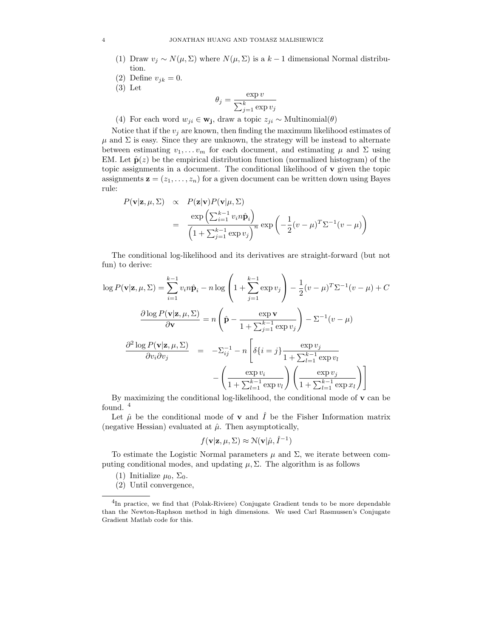#### 4 JONATHAN HUANG AND TOMASZ MALISIEWICZ

- (1) Draw  $v_i \sim N(\mu, \Sigma)$  where  $N(\mu, \Sigma)$  is a  $k-1$  dimensional Normal distribution.
- (2) Define  $v_{ik} = 0$ .
- (3) Let

$$
\theta_j = \frac{\exp v}{\sum_{j=1}^k \exp v_j}
$$

(4) For each word  $w_{ji} \in \mathbf{w_j}$ , draw a topic  $z_{ji} \sim \text{Multinomial}(\theta)$ 

Notice that if the  $v_i$  are known, then finding the maximum likelihood estimates of  $\mu$  and  $\Sigma$  is easy. Since they are unknown, the strategy will be instead to alternate between estimating  $v_1, \ldots v_m$  for each document, and estimating  $\mu$  and  $\Sigma$  using EM. Let  $\hat{\mathbf{p}}(z)$  be the empirical distribution function (normalized histogram) of the topic assignments in a document. The conditional likelihood of  $\bf{v}$  given the topic assignments  $\mathbf{z} = (z_1, \ldots, z_n)$  for a given document can be written down using Bayes rule:

$$
P(\mathbf{v}|\mathbf{z}, \mu, \Sigma) \propto P(\mathbf{z}|\mathbf{v})P(\mathbf{v}|\mu, \Sigma)
$$
  
= 
$$
\frac{\exp\left(\sum_{i=1}^{k-1} v_i n \hat{\mathbf{p}}_i\right)}{\left(1 + \sum_{j=1}^{k-1} \exp v_j\right)^n} \exp\left(-\frac{1}{2}(v - \mu)^T \Sigma^{-1} (v - \mu)\right)
$$

The conditional log-likelihood and its derivatives are straight-forward (but not fun) to derive:

$$
\log P(\mathbf{v}|\mathbf{z}, \mu, \Sigma) = \sum_{i=1}^{k-1} v_i n \hat{\mathbf{p}}_i - n \log \left( 1 + \sum_{j=1}^{k-1} \exp v_j \right) - \frac{1}{2} (v - \mu)^T \Sigma^{-1} (v - \mu) + C
$$

$$
\frac{\partial \log P(\mathbf{v}|\mathbf{z}, \mu, \Sigma)}{\partial \mathbf{v}} = n \left( \hat{\mathbf{p}} - \frac{\exp \mathbf{v}}{1 + \sum_{j=1}^{k-1} \exp v_j} \right) - \Sigma^{-1} (v - \mu)
$$

$$
\frac{\partial^2 \log P(\mathbf{v}|\mathbf{z}, \mu, \Sigma)}{\partial v_i \partial v_j} = -\Sigma_{ij}^{-1} - n \left[ \delta \{ i = j \} \frac{\exp v_j}{1 + \sum_{l=1}^{k-1} \exp v_l} - \left( \frac{\exp v_i}{1 + \sum_{l=1}^{k-1} \exp v_l} \right) \left( \frac{\exp v_j}{1 + \sum_{l=1}^{k-1} \exp x_l} \right) \right]
$$

By maximizing the conditional log-likelihood, the conditional mode of v can be found.  $4$ 

Let  $\hat{\mu}$  be the conditional mode of **v** and  $\hat{I}$  be the Fisher Information matrix (negative Hessian) evaluated at  $\hat{\mu}$ . Then asymptotically,

$$
f(\mathbf{v}|\mathbf{z}, \mu, \Sigma) \approx \mathcal{N}(\mathbf{v}|\hat{\mu}, \hat{I}^{-1})
$$

To estimate the Logistic Normal parameters  $\mu$  and  $\Sigma$ , we iterate between computing conditional modes, and updating  $\mu$ ,  $\Sigma$ . The algorithm is as follows

- (1) Initialize  $\mu_0$ ,  $\Sigma_0$ .
- (2) Until convergence,

<sup>&</sup>lt;sup>4</sup>In practice, we find that (Polak-Riviere) Conjugate Gradient tends to be more dependable than the Newton-Raphson method in high dimensions. We used Carl Rasmussen's Conjugate Gradient Matlab code for this.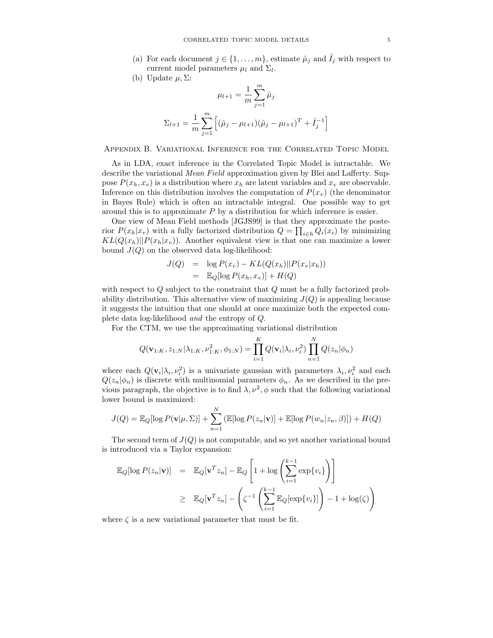- (a) For each document  $j \in \{1, \ldots, m\}$ , estimate  $\hat{\mu}_j$  and  $\hat{I}_j$  with respect to current model parameters  $\mu_l$  and  $\Sigma_l$ .
- (b) Update  $\mu$ ,  $\Sigma$ :

$$
\mu_{l+1} = \frac{1}{m} \sum_{j=1}^{m} \hat{\mu}_j
$$

$$
\Sigma_{l+1} = \frac{1}{m} \sum_{j=1}^{m} \left[ (\hat{\mu}_j - \mu_{l+1})(\hat{\mu}_j - \mu_{l+1})^T + \hat{I}_j^{-1} \right]
$$

Appendix B. Variational Inference for the Correlated Topic Model

As in LDA, exact inference in the Correlated Topic Model is intractable. We describe the variational Mean Field approximation given by Blei and Lafferty. Suppose  $P(x_h, x_v)$  is a distribution where  $x_h$  are latent variables and  $x_v$  are observable. Inference on this distribution involves the computation of  $P(x_v)$  (the denominator in Bayes Rule) which is often an intractable integral. One possible way to get around this is to approximate  $P$  by a distribution for which inference is easier.

One view of Mean Field methods [JGJS99] is that they approximate the posterior  $P(x_h|x_v)$  with a fully factorized distribution  $Q = \prod_{i \in h} Q_i(x_i)$  by minimizing  $KL(Q(x_h)||P(x_h|x_v))$ . Another equivalent view is that one can maximize a lower bound  $J(Q)$  on the observed data log-likelihood:

$$
J(Q) = \log P(x_v) - KL(Q(x_h)||P(x_v|x_h))
$$
  
=  $\mathbb{E}_Q[\log P(x_h, x_v)] + H(Q)$ 

with respect to Q subject to the constraint that Q must be a fully factorized probability distribution. This alternative view of maximizing  $J(Q)$  is appealing because it suggests the intuition that one should at once maximize both the expected complete data log-likelihood and the entropy of Q.

For the CTM, we use the approximating variational distribution

$$
Q(\mathbf{v}_{1:K}, z_{1:N} | \lambda_{1:K}, \nu_{1:K}^2, \phi_{1:N}) = \prod_{i=1}^K Q(\mathbf{v}_i | \lambda_i, \nu_i^2) \prod_{n=1}^N Q(z_n | \phi_n)
$$

where each  $Q(\mathbf{v}_i|\lambda_i, \nu_i^2)$  is a univariate gaussian with parameters  $\lambda_i, \nu_i^2$  and each  $Q(z_n|\phi_n)$  is discrete with multinomial parameters  $\phi_n$ . As we described in the previous paragraph, the objective is to find  $\lambda, \nu^2, \phi$  such that the following variational lower bound is maximized:

$$
J(Q) = \mathbb{E}_{Q}[\log P(\mathbf{v}|\mu, \Sigma)] + \sum_{n=1}^{N} (\mathbb{E}[\log P(z_n|\mathbf{v})] + \mathbb{E}[\log P(w_n|z_n, \beta)]) + H(Q)
$$

The second term of  $J(Q)$  is not computable, and so yet another variational bound is introduced via a Taylor expansion:

$$
\mathbb{E}_{Q}[\log P(z_{n}|\mathbf{v})] = \mathbb{E}_{Q}[\mathbf{v}^{T} z_{n}] - \mathbb{E}_{Q} \left[ 1 + \log \left( \sum_{i=1}^{k-1} \exp\{v_{i}\} \right) \right]
$$
  
\n
$$
\geq \mathbb{E}_{Q}[\mathbf{v}^{T} z_{n}] - \left( \zeta^{-1} \left( \sum_{i=1}^{k-1} \mathbb{E}_{Q}[\exp\{v_{i}\}] \right) - 1 + \log(\zeta) \right)
$$

where  $\zeta$  is a new variational parameter that must be fit.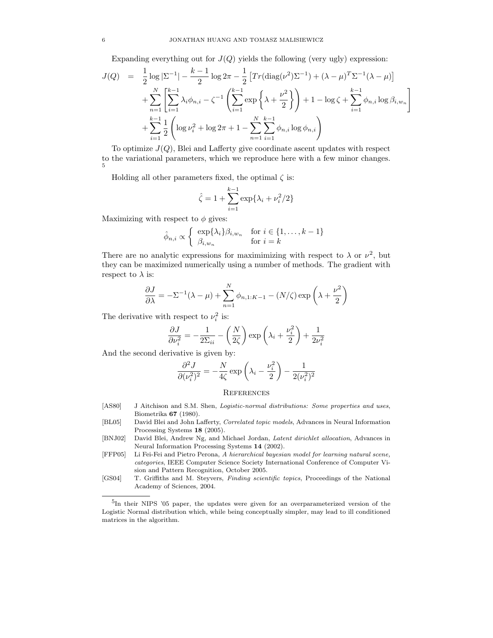Expanding everything out for  $J(Q)$  yields the following (very ugly) expression:

$$
J(Q) = \frac{1}{2} \log |\Sigma^{-1}| - \frac{k-1}{2} \log 2\pi - \frac{1}{2} \left[ Tr(\text{diag}(\nu^2) \Sigma^{-1}) + (\lambda - \mu)^T \Sigma^{-1} (\lambda - \mu) \right]
$$
  
+ 
$$
\sum_{n=1}^N \left[ \sum_{i=1}^{k-1} \lambda_i \phi_{n,i} - \zeta^{-1} \left( \sum_{i=1}^{k-1} \exp \left\{ \lambda + \frac{\nu^2}{2} \right\} \right) + 1 - \log \zeta + \sum_{i=1}^{k-1} \phi_{n,i} \log \beta_{i,w_n} \right]
$$
  
+ 
$$
\sum_{i=1}^{k-1} \frac{1}{2} \left( \log \nu_i^2 + \log 2\pi + 1 - \sum_{n=1}^N \sum_{i=1}^{k-1} \phi_{n,i} \log \phi_{n,i} \right)
$$

To optimize  $J(Q)$ , Blei and Lafferty give coordinate ascent updates with respect to the variational parameters, which we reproduce here with a few minor changes. 5

Holding all other parameters fixed, the optimal  $\zeta$  is:

$$
\hat{\zeta} = 1 + \sum_{i=1}^{k-1} \exp\{\lambda_i + \nu_i^2/2\}
$$

Maximizing with respect to  $\phi$  gives:

$$
\hat{\phi}_{n,i} \propto \begin{cases} \exp\{\lambda_i\} \beta_{i,w_n} & \text{for } i \in \{1, \dots, k-1\} \\ \beta_{i,w_n} & \text{for } i = k \end{cases}
$$

There are no analytic expressions for maximimizing with respect to  $\lambda$  or  $\nu^2$ , but they can be maximized numerically using a number of methods. The gradient with respect to  $\lambda$  is:

$$
\frac{\partial J}{\partial \lambda} = -\Sigma^{-1}(\lambda - \mu) + \sum_{n=1}^{N} \phi_{n,1:K-1} - (N/\zeta) \exp\left(\lambda + \frac{\nu^2}{2}\right)
$$

The derivative with respect to  $\nu_i^2$  is:

$$
\frac{\partial J}{\partial \nu_i^2} = -\frac{1}{2\Sigma_{ii}} - \left(\frac{N}{2\zeta}\right) \exp\left(\lambda_i + \frac{\nu_i^2}{2}\right) + \frac{1}{2\nu_i^2}
$$

And the second derivative is given by:

$$
\frac{\partial^2 J}{\partial (\nu_i^2)^2} = -\frac{N}{4\zeta} \exp\left(\lambda_i - \frac{\nu_i^2}{2}\right) - \frac{1}{2(\nu_i^2)^2}
$$

### **REFERENCES**

- [AS80] J Aitchison and S.M. Shen, *Logistic-normal distributions: Some properties and uses*, Biometrika 67 (1980).
- [BL05] David Blei and John Lafferty, Correlated topic models, Advances in Neural Information Processing Systems 18 (2005).
- [BNJ02] David Blei, Andrew Ng, and Michael Jordan, Latent dirichlet allocation, Advances in Neural Information Processing Systems 14 (2002).
- [FFP05] Li Fei-Fei and Pietro Perona, A hierarchical bayesian model for learning natural scene, categories, IEEE Computer Science Society International Conference of Computer Vision and Pattern Recognition, October 2005.
- [GS04] T. Griffiths and M. Steyvers, Finding scientific topics, Proceedings of the National Academy of Sciences, 2004.

<sup>5</sup> In their NIPS '05 paper, the updates were given for an overparameterized version of the Logistic Normal distribution which, while being conceptually simpler, may lead to ill conditioned matrices in the algorithm.